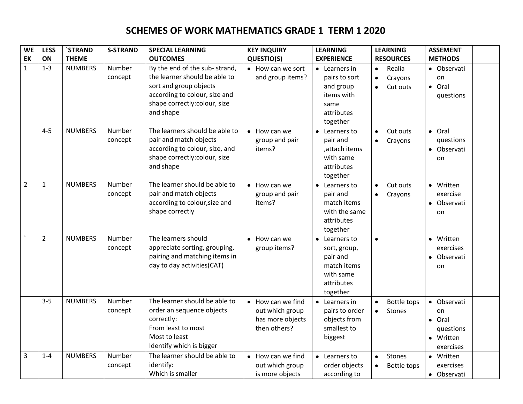## **SCHEMES OF WORK MATHEMATICS GRADE 1 TERM 1 2020**

| <b>WE</b>      | <b>LESS</b>    | `STRAND        | <b>S-STRAND</b>   | <b>SPECIAL LEARNING</b>                                                                                                                                                | <b>KEY INQUIRY</b>                                                       | <b>LEARNING</b>                                                                                     | <b>LEARNING</b>                                                      | <b>ASSEMENT</b>                                                               |
|----------------|----------------|----------------|-------------------|------------------------------------------------------------------------------------------------------------------------------------------------------------------------|--------------------------------------------------------------------------|-----------------------------------------------------------------------------------------------------|----------------------------------------------------------------------|-------------------------------------------------------------------------------|
| EK             | ON             | <b>THEME</b>   |                   | <b>OUTCOMES</b>                                                                                                                                                        | QUESTIO(S)                                                               | <b>EXPERIENCE</b>                                                                                   | <b>RESOURCES</b>                                                     | <b>METHODS</b>                                                                |
| $\mathbf{1}$   | $1 - 3$        | <b>NUMBERS</b> | Number<br>concept | By the end of the sub-strand,<br>the learner should be able to<br>sort and group objects<br>according to colour, size and<br>shape correctly:colour, size<br>and shape | • How can we sort<br>and group items?                                    | $\bullet$ Learners in<br>pairs to sort<br>and group<br>items with<br>same<br>attributes<br>together | Realia<br>$\bullet$<br>Crayons<br>$\bullet$<br>Cut outs<br>$\bullet$ | • Observati<br>on<br>• Oral<br>questions                                      |
|                | $4 - 5$        | <b>NUMBERS</b> | Number<br>concept | The learners should be able to<br>pair and match objects<br>according to colour, size, and<br>shape correctly:colour, size<br>and shape                                | • How can we<br>group and pair<br>items?                                 | • Learners to<br>pair and<br>,attach items<br>with same<br>attributes<br>together                   | Cut outs<br>$\bullet$<br>Crayons<br>$\bullet$                        | · Oral<br>questions<br>• Observati<br>on                                      |
| $\overline{2}$ | $\mathbf{1}$   | <b>NUMBERS</b> | Number<br>concept | The learner should be able to<br>pair and match objects<br>according to colour, size and<br>shape correctly                                                            | $\bullet$ How can we<br>group and pair<br>items?                         | • Learners to<br>pair and<br>match items<br>with the same<br>attributes<br>together                 | Cut outs<br>$\bullet$<br>Crayons<br>$\bullet$                        | • Written<br>exercise<br>• Observati<br>on                                    |
|                | $\overline{2}$ | <b>NUMBERS</b> | Number<br>concept | The learners should<br>appreciate sorting, grouping,<br>pairing and matching items in<br>day to day activities (CAT)                                                   | $\bullet$ How can we<br>group items?                                     | • Learners to<br>sort, group,<br>pair and<br>match items<br>with same<br>attributes<br>together     | $\bullet$                                                            | • Written<br>exercises<br>Observati<br>on                                     |
|                | $3 - 5$        | <b>NUMBERS</b> | Number<br>concept | The learner should be able to<br>order an sequence objects<br>correctly:<br>From least to most<br>Most to least<br>Identify which is bigger                            | • How can we find<br>out which group<br>has more objects<br>then others? | $\bullet$ Learners in<br>pairs to order<br>objects from<br>smallest to<br>biggest                   | <b>Bottle tops</b><br>$\bullet$<br>Stones<br>$\bullet$               | Observati<br>$\bullet$<br>on<br>· Oral<br>questions<br>• Written<br>exercises |
| 3              | $1 - 4$        | <b>NUMBERS</b> | Number<br>concept | The learner should be able to<br>identify:<br>Which is smaller                                                                                                         | • How can we find<br>out which group<br>is more objects                  | • Learners to<br>order objects<br>according to                                                      | Stones<br>$\bullet$<br>Bottle tops                                   | • Written<br>exercises<br>• Observati                                         |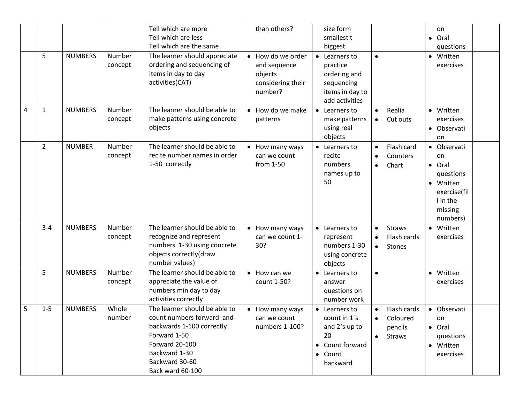|   |                |                |                   | Tell which are more                                                                                                                                                              | than others?                                                                 | size form                                                                                                                                                             | on                                                                                                 |
|---|----------------|----------------|-------------------|----------------------------------------------------------------------------------------------------------------------------------------------------------------------------------|------------------------------------------------------------------------------|-----------------------------------------------------------------------------------------------------------------------------------------------------------------------|----------------------------------------------------------------------------------------------------|
|   |                |                |                   | Tell which are less                                                                                                                                                              |                                                                              | smallest t<br>$\bullet$                                                                                                                                               | Oral                                                                                               |
|   |                |                |                   | Tell which are the same                                                                                                                                                          |                                                                              | biggest                                                                                                                                                               | questions                                                                                          |
|   | 5              | <b>NUMBERS</b> | Number<br>concept | The learner should appreciate<br>ordering and sequencing of<br>items in day to day<br>activities(CAT)                                                                            | • How do we order<br>and sequence<br>objects<br>considering their<br>number? | $\bullet$<br>Learners to<br>$\bullet$<br>practice<br>ordering and<br>sequencing<br>items in day to<br>add activities                                                  | • Written<br>exercises                                                                             |
| 4 | $\mathbf{1}$   | <b>NUMBERS</b> | Number<br>concept | The learner should be able to<br>make patterns using concrete<br>objects                                                                                                         | How do we make<br>patterns                                                   | Realia<br>• Learners to<br>$\bullet$<br>make patterns<br>Cut outs<br>$\bullet$<br>using real<br>objects                                                               | • Written<br>exercises<br>• Observati<br>on                                                        |
|   | $\overline{2}$ | <b>NUMBER</b>  | Number<br>concept | The learner should be able to<br>recite number names in order<br>1-50 correctly                                                                                                  | • How many ways<br>can we count<br>from 1-50                                 | Flash card<br>• Learners to<br>recite<br>Counters<br>$\bullet$<br>numbers<br>Chart<br>$\bullet$<br>$\bullet$<br>names up to<br>50<br>$\bullet$                        | Observati<br>on<br>Oral<br>questions<br>Written<br>exercise(fil<br>I in the<br>missing<br>numbers) |
|   | $3 - 4$        | <b>NUMBERS</b> | Number<br>concept | The learner should be able to<br>recognize and represent<br>numbers 1-30 using concrete<br>objects correctly(draw<br>number values)                                              | • How many ways<br>can we count 1-<br>30?                                    | <b>Straws</b><br>• Learners to<br>$\bullet$<br>$\bullet$<br>Flash cards<br>represent<br>$\bullet$<br>numbers 1-30<br>Stones<br>$\bullet$<br>using concrete<br>objects | Written<br>exercises                                                                               |
|   | 5              | <b>NUMBERS</b> | Number<br>concept | The learner should be able to<br>appreciate the value of<br>numbers min day to day<br>activities correctly                                                                       | How can we<br>$\bullet$<br>count 1-50?                                       | • Learners to<br>$\bullet$<br>$\bullet$<br>answer<br>questions on<br>number work                                                                                      | Written<br>exercises                                                                               |
| 5 | $1 - 5$        | <b>NUMBERS</b> | Whole<br>number   | The learner should be able to<br>count numbers forward and<br>backwards 1-100 correctly<br>Forward 1-50<br>Forward 20-100<br>Backward 1-30<br>Backward 30-60<br>Back ward 60-100 | • How many ways<br>can we count<br>numbers 1-100?                            | Flash cards<br>• Learners to<br>count in $1$ 's<br>Coloured<br>$\bullet$<br>and 2's up to<br>pencils<br>20<br><b>Straws</b><br>• Count forward<br>• Count<br>backward | Observati<br>on<br>• Oral<br>questions<br>• Written<br>exercises                                   |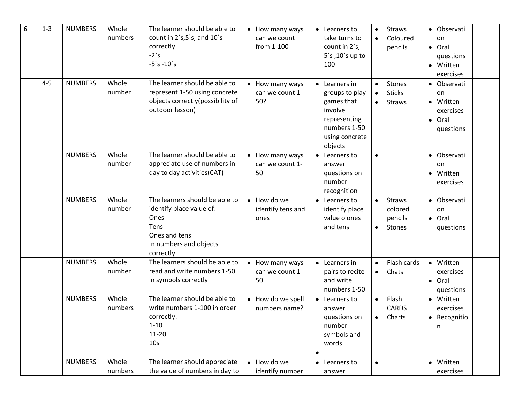| 6 | $1 - 3$ | <b>NUMBERS</b> | Whole<br>numbers | The learner should be able to<br>count in $2's, 5's,$ and $10's$<br>correctly<br>$-2$ 's<br>$-5$ `s $-10$ `s                       | • How many ways<br>can we count<br>from 1-100 | • Learners to<br>take turns to<br>count in 2's,<br>$5$ 's $,10$ 's up to<br>100                                               | $\bullet$              | <b>Straws</b><br>Coloured<br>pencils                 | • Observati<br>on<br>• Oral<br>questions<br>• Written<br>exercises |  |
|---|---------|----------------|------------------|------------------------------------------------------------------------------------------------------------------------------------|-----------------------------------------------|-------------------------------------------------------------------------------------------------------------------------------|------------------------|------------------------------------------------------|--------------------------------------------------------------------|--|
|   | $4 - 5$ | <b>NUMBERS</b> | Whole<br>number  | The learner should be able to<br>represent 1-50 using concrete<br>objects correctly(possibility of<br>outdoor lesson)              | • How many ways<br>can we count 1-<br>50?     | $\bullet$ Learners in<br>groups to play<br>games that<br>involve<br>representing<br>numbers 1-50<br>using concrete<br>objects | $\bullet$              | Stones<br><b>Sticks</b><br><b>Straws</b>             | • Observati<br>on<br>• Written<br>exercises<br>• Oral<br>questions |  |
|   |         | <b>NUMBERS</b> | Whole<br>number  | The learner should be able to<br>appreciate use of numbers in<br>day to day activities (CAT)                                       | • How many ways<br>can we count 1-<br>50      | • Learners to<br>answer<br>questions on<br>number<br>recognition                                                              | $\bullet$              |                                                      | • Observati<br>on<br>• Written<br>exercises                        |  |
|   |         | <b>NUMBERS</b> | Whole<br>number  | The learners should be able to<br>identify place value of:<br>Ones<br>Tens<br>Ones and tens<br>In numbers and objects<br>correctly | • How do we<br>identify tens and<br>ones      | • Learners to<br>identify place<br>value o ones<br>and tens                                                                   | $\bullet$<br>$\bullet$ | <b>Straws</b><br>colored<br>pencils<br><b>Stones</b> | • Observati<br>on<br>$\bullet$ Oral<br>questions                   |  |
|   |         | <b>NUMBERS</b> | Whole<br>number  | The learners should be able to<br>read and write numbers 1-50<br>in symbols correctly                                              | • How many ways<br>can we count 1-<br>50      | • Learners in<br>pairs to recite<br>and write<br>numbers 1-50                                                                 | $\bullet$<br>$\bullet$ | Flash cards<br>Chats                                 | • Written<br>exercises<br>• Oral<br>questions                      |  |
|   |         | <b>NUMBERS</b> | Whole<br>numbers | The learner should be able to<br>write numbers 1-100 in order<br>correctly:<br>$1 - 10$<br>$11 - 20$<br>10 <sub>s</sub>            | • How do we spell<br>numbers name?            | • Learners to<br>answer<br>questions on<br>number<br>symbols and<br>words                                                     | $\bullet$<br>$\bullet$ | Flash<br>CARDS<br>Charts                             | • Written<br>exercises<br>• Recognitio<br>n                        |  |
|   |         | <b>NUMBERS</b> | Whole<br>numbers | The learner should appreciate<br>the value of numbers in day to                                                                    | • How do we<br>identify number                | • Learners to<br>answer                                                                                                       | $\bullet$              |                                                      | • Written<br>exercises                                             |  |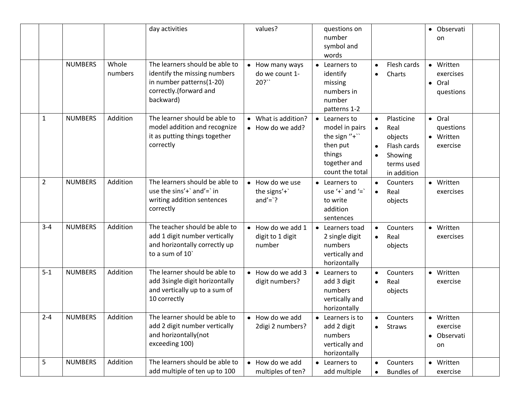|         |                |                  | day activities                                                                                                                    | values?                                                | questions on<br>• Observati<br>number<br>on<br>symbol and<br>words                                                                                                                                                                                                                                     |
|---------|----------------|------------------|-----------------------------------------------------------------------------------------------------------------------------------|--------------------------------------------------------|--------------------------------------------------------------------------------------------------------------------------------------------------------------------------------------------------------------------------------------------------------------------------------------------------------|
|         | <b>NUMBERS</b> | Whole<br>numbers | The learners should be able to<br>identify the missing numbers<br>in number patterns(1-20)<br>correctly.(forward and<br>backward) | How many ways<br>$\bullet$<br>do we count 1-<br>20?``  | Flesh cards<br>• Written<br>• Learners to<br>$\bullet$<br>identify<br>exercises<br>Charts<br>$\bullet$<br>missing<br>Oral<br>$\bullet$<br>numbers in<br>questions<br>number<br>patterns 1-2                                                                                                            |
| 1       | <b>NUMBERS</b> | Addition         | The learner should be able to<br>model addition and recognize<br>it as putting things together<br>correctly                       | What is addition?<br>• How do we add?                  | • Oral<br>Plasticine<br>• Learners to<br>$\bullet$<br>model in pairs<br>questions<br>Real<br>$\bullet$<br>the sign $"+'$<br>• Written<br>objects<br>then put<br>exercise<br>Flash cards<br>$\bullet$<br>things<br>Showing<br>$\bullet$<br>together and<br>terms used<br>count the total<br>in addition |
| 2       | <b>NUMBERS</b> | Addition         | The learners should be able to<br>use the sins'+ $\hat{ }$ and'= $\hat{ }$ in<br>writing addition sentences<br>correctly          | How do we use<br>$\bullet$<br>the signs'+<br>$and'='?$ | • Written<br>• Learners to<br>Counters<br>$\bullet$<br>use '+ $\cdot$ and '= $\cdot$<br>exercises<br>Real<br>$\bullet$<br>to write<br>objects<br>addition<br>sentences                                                                                                                                 |
| $3 - 4$ | <b>NUMBERS</b> | Addition         | The teacher should be able to<br>add 1 digit number vertically<br>and horizontally correctly up<br>to a sum of 10                 | How do we add 1<br>digit to 1 digit<br>number          | • Learners toad<br>Counters<br>• Written<br>$\bullet$<br>2 single digit<br>exercises<br>Real<br>$\bullet$<br>numbers<br>objects<br>vertically and<br>horizontally                                                                                                                                      |
| $5 - 1$ | <b>NUMBERS</b> | Addition         | The learner should be able to<br>add 3single digit horizontally<br>and vertically up to a sum of<br>10 correctly                  | $\bullet$ How do we add 3<br>digit numbers?            | • Written<br>• Learners to<br>Counters<br>$\bullet$<br>add 3 digit<br>exercise<br>Real<br>$\bullet$<br>numbers<br>objects<br>vertically and<br>horizontally                                                                                                                                            |
| $2 - 4$ | <b>NUMBERS</b> | Addition         | The learner should be able to<br>add 2 digit number vertically<br>and horizontally(not<br>exceeding 100)                          | • How do we add<br>2digi 2 numbers?                    | Counters<br>• Written<br>$\bullet$ Learners is to<br>$\bullet$<br>add 2 digit<br>exercise<br><b>Straws</b><br>$\bullet$<br>numbers<br>Observati<br>vertically and<br>on<br>horizontally                                                                                                                |
| 5       | <b>NUMBERS</b> | Addition         | The learners should be able to<br>add multiple of ten up to 100                                                                   | How do we add<br>$\bullet$<br>multiples of ten?        | • Learners to<br>• Written<br>Counters<br>add multiple<br><b>Bundles of</b><br>exercise                                                                                                                                                                                                                |